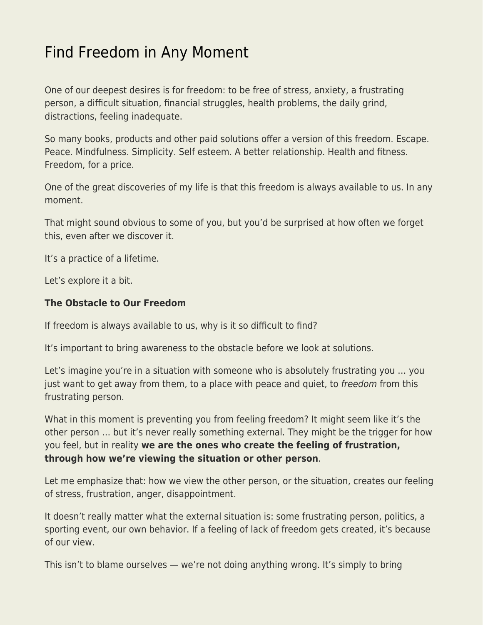## [Find Freedom in Any Moment](https://everything-voluntary.com/find-freedom-in-any-moment)

One of our deepest desires is for freedom: to be free of stress, anxiety, a frustrating person, a difficult situation, financial struggles, health problems, the daily grind, distractions, feeling inadequate.

So many books, products and other paid solutions offer a version of this freedom. Escape. Peace. Mindfulness. Simplicity. Self esteem. A better relationship. Health and fitness. Freedom, for a price.

One of the great discoveries of my life is that this freedom is always available to us. In any moment.

That might sound obvious to some of you, but you'd be surprised at how often we forget this, even after we discover it.

It's a practice of a lifetime.

Let's explore it a bit.

## **The Obstacle to Our Freedom**

If freedom is always available to us, why is it so difficult to find?

It's important to bring awareness to the obstacle before we look at solutions.

Let's imagine you're in a situation with someone who is absolutely frustrating you … you just want to get away from them, to a place with peace and quiet, to freedom from this frustrating person.

What in this moment is preventing you from feeling freedom? It might seem like it's the other person … but it's never really something external. They might be the trigger for how you feel, but in reality **we are the ones who create the feeling of frustration, through how we're viewing the situation or other person**.

Let me emphasize that: how we view the other person, or the situation, creates our feeling of stress, frustration, anger, disappointment.

It doesn't really matter what the external situation is: some frustrating person, politics, a sporting event, our own behavior. If a feeling of lack of freedom gets created, it's because of our view.

This isn't to blame ourselves — we're not doing anything wrong. It's simply to bring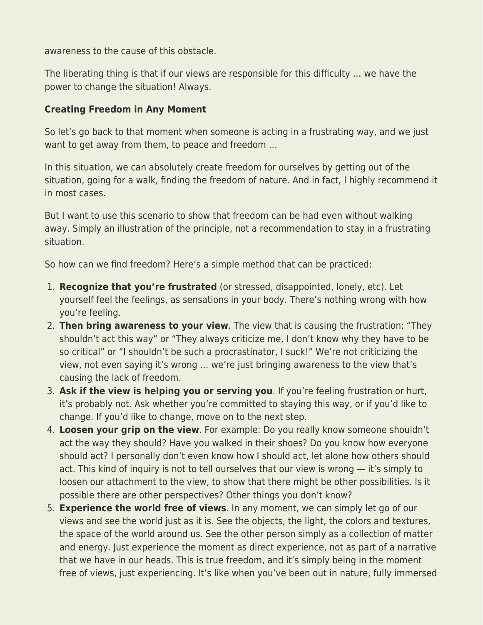awareness to the cause of this obstacle.

The liberating thing is that if our views are responsible for this difficulty … we have the power to change the situation! Always.

## **Creating Freedom in Any Moment**

So let's go back to that moment when someone is acting in a frustrating way, and we just want to get away from them, to peace and freedom …

In this situation, we can absolutely create freedom for ourselves by getting out of the situation, going for a walk, finding the freedom of nature. And in fact, I highly recommend it in most cases.

But I want to use this scenario to show that freedom can be had even without walking away. Simply an illustration of the principle, not a recommendation to stay in a frustrating situation.

So how can we find freedom? Here's a simple method that can be practiced:

- 1. **Recognize that you're frustrated** (or stressed, disappointed, lonely, etc). Let yourself feel the feelings, as sensations in your body. There's nothing wrong with how you're feeling.
- 2. **Then bring awareness to your view**. The view that is causing the frustration: "They shouldn't act this way" or "They always criticize me, I don't know why they have to be so critical" or "I shouldn't be such a procrastinator, I suck!" We're not criticizing the view, not even saying it's wrong … we're just bringing awareness to the view that's causing the lack of freedom.
- 3. **Ask if the view is helping you or serving you**. If you're feeling frustration or hurt, it's probably not. Ask whether you're committed to staying this way, or if you'd like to change. If you'd like to change, move on to the next step.
- 4. **Loosen your grip on the view**. For example: Do you really know someone shouldn't act the way they should? Have you walked in their shoes? Do you know how everyone should act? I personally don't even know how I should act, let alone how others should act. This kind of inquiry is not to tell ourselves that our view is wrong — it's simply to loosen our attachment to the view, to show that there might be other possibilities. Is it possible there are other perspectives? Other things you don't know?
- 5. **Experience the world free of views**. In any moment, we can simply let go of our views and see the world just as it is. See the objects, the light, the colors and textures, the space of the world around us. See the other person simply as a collection of matter and energy. Just experience the moment as direct experience, not as part of a narrative that we have in our heads. This is true freedom, and it's simply being in the moment free of views, just experiencing. It's like when you've been out in nature, fully immersed